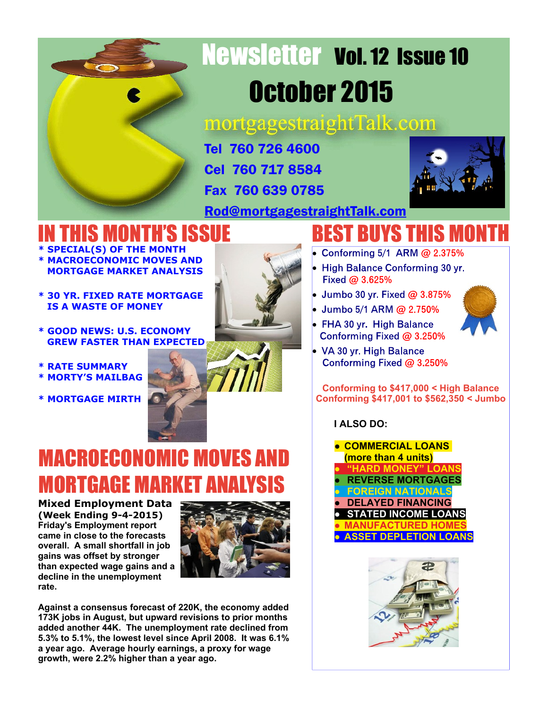

# Newsletter Vol. 12 Issue 10 October 2015

mortgagestraightTalk.com

Tel 760 726 4600 Cel 760 717 8584 Fax 760 639 0785



[Rod@mortgagestraightTalk.com](mailto:Rod@MortgageStraightTalk.com)

# HIS MONTH'S ISSUE

- **\* SPECIAL(S) OF THE MONTH \* MACROECONOMIC MOVES AND MORTGAGE MARKET ANALYSIS**
- **\* 30 YR. FIXED RATE MORTGAGE IS A WASTE OF MONEY**
- **\* GOOD NEWS: U.S. ECONOMY GREW FASTER THAN EXPECTED**
- **\* RATE SUMMARY**
- **\* MORTY'S MAILBAG**
- **\* MORTGAGE MIRTH**

**rate.**



**BEST BUYS THIS M** 

- Conforming 5/1 ARM @ 2.375%
- · Fixed @ 3.625%
- ·
- Jumbo 5/1 ARM @ 2.750% ·
- FHA 30 yr. High Balance Conforming Fixed @ 3.250%



VA 30 yr. High Balance Conforming Fixed @ 3.250%

**Conforming to \$417,000 < High Balance Conforming \$417,001 to \$562,350 < Jumbo**

# **I ALSO DO:**







**Against a consensus forecast of 220K, the economy added 173K jobs in August, but upward revisions to prior months added another 44K. The unemployment rate declined from 5.3% to 5.1%, the lowest level since April 2008. It was 6.1% a year ago. Average hourly earnings, a proxy for wage growth, were 2.2% higher than a year ago.**

MACROECONOMIC MOVES AND

**MORTGAGE MARKET AN**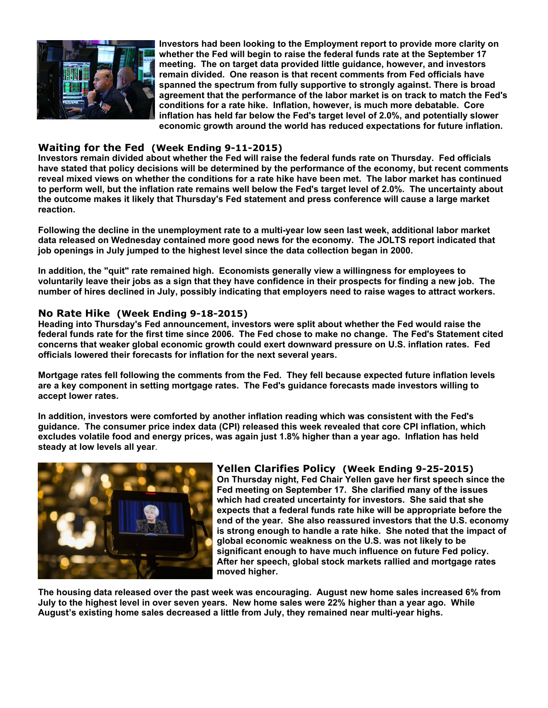

**Investors had been looking to the Employment report to provide more clarity on whether the Fed will begin to raise the federal funds rate at the September 17 meeting. The on target data provided little guidance, however, and investors remain divided. One reason is that recent comments from Fed officials have spanned the spectrum from fully supportive to strongly against. There is broad agreement that the performance of the labor market is on track to match the Fed's conditions for a rate hike. Inflation, however, is much more debatable. Core inflation has held far below the Fed's target level of 2.0%, and potentially slower economic growth around the world has reduced expectations for future inflation.**

### **Waiting for the Fed (Week Ending 9-11-2015)**

**Investors remain divided about whether the Fed will raise the federal funds rate on Thursday. Fed officials have stated that policy decisions will be determined by the performance of the economy, but recent comments reveal mixed views on whether the conditions for a rate hike have been met. The labor market has continued to perform well, but the inflation rate remains well below the Fed's target level of 2.0%. The uncertainty about the outcome makes it likely that Thursday's Fed statement and press conference will cause a large market reaction.**

**Following the decline in the unemployment rate to a multi-year low seen last week, additional labor market data released on Wednesday contained more good news for the economy. The JOLTS report indicated that job openings in July jumped to the highest level since the data collection began in 2000.**

**In addition, the "quit" rate remained high. Economists generally view a willingness for employees to voluntarily leave their jobs as a sign that they have confidence in their prospects for finding a new job. The number of hires declined in July, possibly indicating that employers need to raise wages to attract workers.**

#### **No Rate Hike (Week Ending 9-18-2015)**

**Heading into Thursday's Fed announcement, investors were split about whether the Fed would raise the federal funds rate for the first time since 2006. The Fed chose to make no change. The Fed's Statement cited concerns that weaker global economic growth could exert downward pressure on U.S. inflation rates. Fed officials lowered their forecasts for inflation for the next several years.**

**Mortgage rates fell following the comments from the Fed. They fell because expected future inflation levels are a key component in setting mortgage rates. The Fed's guidance forecasts made investors willing to accept lower rates.**

**In addition, investors were comforted by another inflation reading which was consistent with the Fed's guidance. The consumer price index data (CPI) released this week revealed that core CPI inflation, which excludes volatile food and energy prices, was again just 1.8% higher than a year ago. Inflation has held steady at low levels all year**.



### **Yellen Clarifies Policy (Week Ending 9-25-2015)**

**On Thursday night, Fed Chair Yellen gave her first speech since the Fed meeting on September 17. She clarified many of the issues which had created uncertainty for investors. She said that she expects that a federal funds rate hike will be appropriate before the end of the year. She also reassured investors that the U.S. economy is strong enough to handle a rate hike. She noted that the impact of global economic weakness on the U.S. was not likely to be significant enough to have much influence on future Fed policy. After her speech, global stock markets rallied and mortgage rates moved higher.**

**The housing data released over the past week was encouraging. August new home sales increased 6% from July to the highest level in over seven years. New home sales were 22% higher than a year ago. While August's existing home sales decreased a little from July, they remained near multi-year highs.**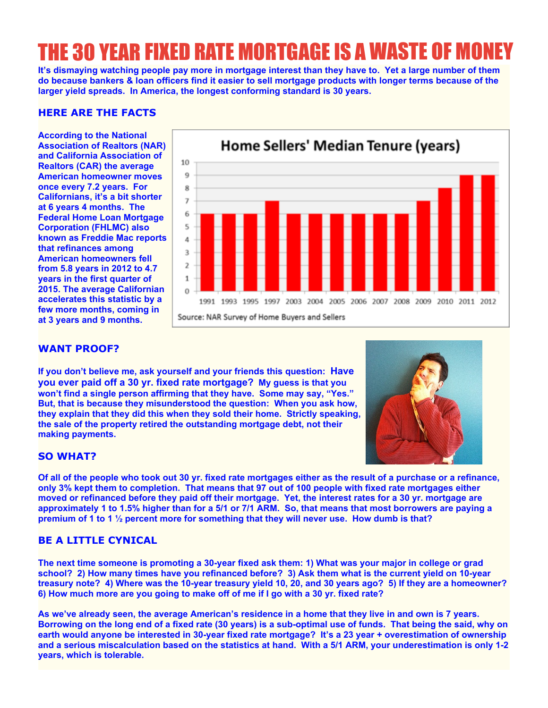# THE 30 YEAR FIXED RATE MORTGAGE IS A WASTE OF M

**It's dismaying watching people pay more in mortgage interest than they have to. Yet a large number of them do because bankers & loan officers find it easier to sell mortgage products with longer terms because of the larger yield spreads. In America, the longest conforming standard is 30 years.**

### **HERE ARE THE FACTS**

**According to the National Association of Realtors (NAR) and California Association of Realtors (CAR) the average American homeowner moves once every 7.2 years. For Californians, it's a bit shorter at 6 years 4 months. The Federal Home Loan Mortgage Corporation (FHLMC) also known as Freddie Mac reports that refinances among American homeowners fell from 5.8 years in 2012 to 4.7 years in the first quarter of 2015. The average Californian accelerates this statistic by a few more months, coming in at 3 years and 9 months.**



### **WANT PROOF?**

**If you don't believe me, ask yourself and your friends this question: Have you ever paid off a 30 yr. fixed rate mortgage? My guess is that you won't find a single person affirming that they have. Some may say, "Yes." But, that is because they misunderstood the question: When you ask how, they explain that they did this when they sold their home. Strictly speaking, the sale of the property retired the outstanding mortgage debt, not their making payments.**



### **SO WHAT?**

**Of all of the people who took out 30 yr. fixed rate mortgages either as the result of a purchase or a refinance, only 3% kept them to completion. That means that 97 out of 100 people with fixed rate mortgages either moved or refinanced before they paid off their mortgage. Yet, the interest rates for a 30 yr. mortgage are approximately 1 to 1.5% higher than for a 5/1 or 7/1 ARM. So, that means that most borrowers are paying a premium of 1 to 1 ½ percent more for something that they will never use. How dumb is that?**

## **BE A LITTLE CYNICAL**

**The next time someone is promoting a 30-year fixed ask them: 1) What was your major in college or grad school? 2) How many times have you refinanced before? 3) Ask them what is the current yield on 10-year treasury note? 4) Where was the 10-year treasury yield 10, 20, and 30 years ago? 5) If they are a homeowner? 6) How much more are you going to make off of me if I go with a 30 yr. fixed rate?**

**As we've already seen, the average American's residence in a home that they live in and own is 7 years. Borrowing on the long end of a fixed rate (30 years) is a sub-optimal use of funds. That being the said, why on earth would anyone be interested in 30-year fixed rate mortgage? It's a 23 year + overestimation of ownership and a serious miscalculation based on the statistics at hand. With a 5/1 ARM, your underestimation is only 1-2 years, which is tolerable.**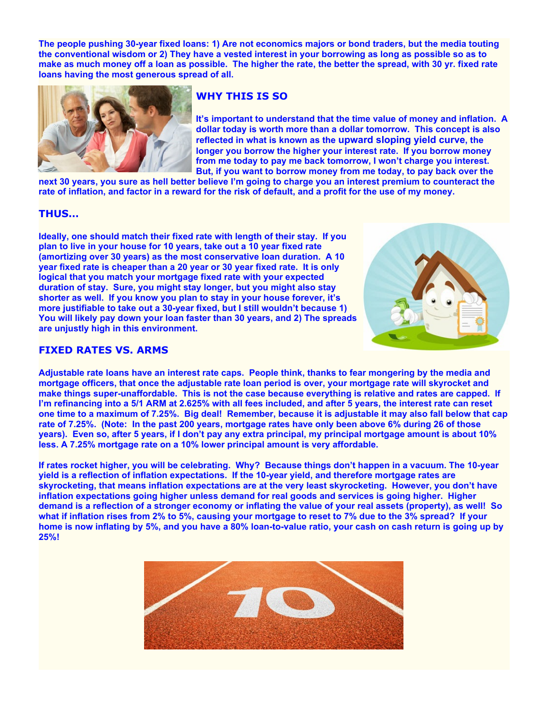**The people pushing 30-year fixed loans: 1) Are not economics majors or bond traders, but the media touting the conventional wisdom or 2) They have a vested interest in your borrowing as long as possible so as to make as much money off a loan as possible. The higher the rate, the better the spread, with 30 yr. fixed rate loans having the most generous spread of all.**



### **WHY THIS IS SO**

**It's important to understand that the time value of money and inflation. A dollar today is worth more than a dollar tomorrow. This concept is also reflected in what is known as the upward sloping yield curve, the longer you borrow the higher your interest rate. If you borrow money from me today to pay me back tomorrow, I won't charge you interest. But, if you want to borrow money from me today, to pay back over the**

**next 30 years, you sure as hell better believe I'm going to charge you an interest premium to counteract the rate of inflation, and factor in a reward for the risk of default, and a profit for the use of my money.**

#### **THUS…**

**Ideally, one should match their fixed rate with length of their stay. If you plan to live in your house for 10 years, take out a 10 year fixed rate (amortizing over 30 years) as the most conservative loan duration. A 10 year fixed rate is cheaper than a 20 year or 30 year fixed rate. It is only logical that you match your mortgage fixed rate with your expected duration of stay. Sure, you might stay longer, but you might also stay shorter as well. If you know you plan to stay in your house forever, it's more justifiable to take out a 30-year fixed, but I still wouldn't because 1) You will likely pay down your loan faster than 30 years, and 2) The spreads are unjustly high in this environment.**



#### **FIXED RATES VS. ARMS**

**Adjustable rate loans have an interest rate caps. People think, thanks to fear mongering by the media and mortgage officers, that once the adjustable rate loan period is over, your mortgage rate will skyrocket and make things super-unaffordable. This is not the case because everything is relative and rates are capped. If I'm refinancing into a 5/1 ARM at 2.625% with all fees included, and after 5 years, the interest rate can reset one time to a maximum of 7.25%. Big deal! Remember, because it is adjustable it may also fall below that cap rate of 7.25%. (Note: In the past 200 years, mortgage rates have only been above 6% during 26 of those years). Even so, after 5 years, if I don't pay any extra principal, my principal mortgage amount is about 10% less. A 7.25% mortgage rate on a 10% lower principal amount is very affordable.**

**If rates rocket higher, you will be celebrating. Why? Because things don't happen in a vacuum. The 10-year yield is a reflection of inflation expectations. If the 10-year yield, and therefore mortgage rates are skyrocketing, that means inflation expectations are at the very least skyrocketing. However, you don't have inflation expectations going higher unless demand for real goods and services is going higher. Higher demand is a reflection of a stronger economy or inflating the value of your real assets (property), as well! So what if inflation rises from 2% to 5%, causing your mortgage to reset to 7% due to the 3% spread? If your home is now inflating by 5%, and you have a 80% loan-to-value ratio, your cash on cash return is going up by 25%!**

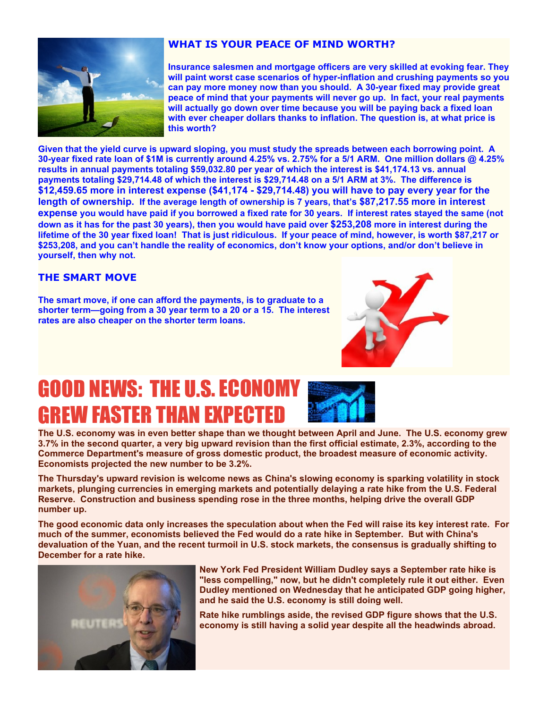

# **WHAT IS YOUR PEACE OF MIND WORTH?**

**Insurance salesmen and mortgage officers are very skilled at evoking fear. They will paint worst case scenarios of hyper-inflation and crushing payments so you can pay more money now than you should. A 30-year fixed may provide great peace of mind that your payments will never go up. In fact, your real payments will actually go down over time because you will be paying back a fixed loan with ever cheaper dollars thanks to inflation. The question is, at what price is this worth?**

**Given that the yield curve is upward sloping, you must study the spreads between each borrowing point. A 30-year fixed rate loan of \$1M is currently around 4.25% vs. 2.75% for a 5/1 ARM. One million dollars @ 4.25% results in annual payments totaling \$59,032.80 per year of which the interest is \$41,174.13 vs. annual payments totaling \$29,714.48 of which the interest is \$29,714.48 on a 5/1 ARM at 3%. The difference is \$12,459.65 more in interest expense (\$41,174 - \$29,714.48) you will have to pay every year for the length of ownership. If the average length of ownership is 7 years, that's \$87,217.55 more in interest expense you would have paid if you borrowed a fixed rate for 30 years. If interest rates stayed the same (not down as it has for the past 30 years), then you would have paid over \$253,208 more in interest during the lifetime of the 30 year fixed loan! That is just ridiculous. If your peace of mind, however, is worth \$87,217 or \$253,208, and you can't handle the reality of economics, don't know your options, and/or don't believe in yourself, then why not.**

## **THE SMART MOVE**

**The smart move, if one can afford the payments, is to graduate to a shorter term—going from a 30 year term to a 20 or a 15. The interest rates are also cheaper on the shorter term loans.**



# **GOOD NEWS: THE U.S. ECON** GREW FASTER THAN EXPECTED



**The U.S. economy was in even better shape than we thought between April and June. The U.S. economy grew 3.7% in the second quarter, a very big upward revision than the first official estimate, 2.3%, according to the Commerce Department's measure of gross domestic product, the broadest measure of economic activity. Economists projected the new number to be 3.2%.**

**The Thursday's upward revision is welcome news as China's slowing economy is sparking volatility in stock markets, plunging currencies in emerging markets and potentially delaying a rate hike from the U.S. Federal Reserve. Construction and business spending rose in the three months, helping drive the overall GDP number up.**

**The good economic data only increases the speculation about when the Fed will raise its key interest rate. For much of the summer, economists believed the Fed would do a rate hike in September. But with China's devaluation of the Yuan, and the recent turmoil in U.S. stock markets, the consensus is gradually shifting to December for a rate hike.**



**New York Fed President William Dudley says a September rate hike is "less compelling," now, but he didn't completely rule it out either. Even Dudley mentioned on Wednesday that he anticipated GDP going higher, and he said the U.S. economy is still doing well.**

**Rate hike rumblings aside, the revised GDP figure shows that the U.S. economy is still having a solid year despite all the headwinds abroad.**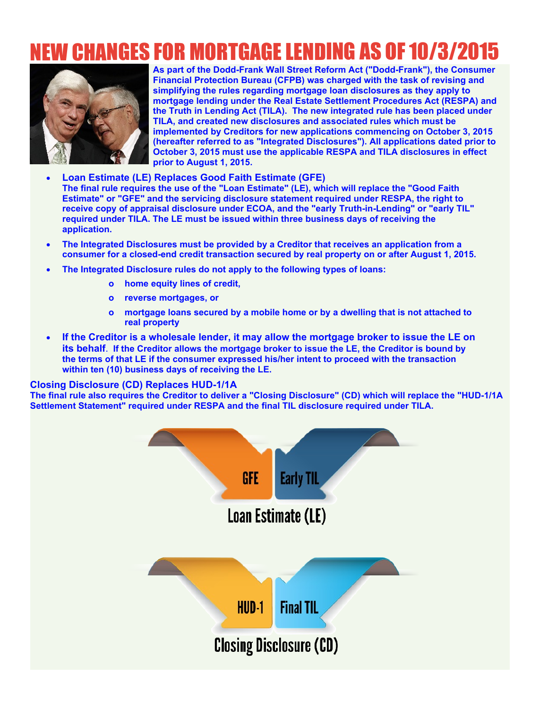# NEW CHANGES FOR MORTGAGE LENDING AS OF 10/3/2015



**As part of the Dodd-Frank Wall Street Reform Act ("Dodd-Frank"), the Consumer Financial Protection Bureau (CFPB) was charged with the task of revising and simplifying the rules regarding mortgage loan disclosures as they apply to mortgage lending under the Real Estate Settlement Procedures Act (RESPA) and the Truth in Lending Act (TILA). The new integrated rule has been placed under TILA, and created new disclosures and associated rules which must be implemented by Creditors for new applications commencing on October 3, 2015 (hereafter referred to as "Integrated Disclosures"). All applications dated prior to October 3, 2015 must use the applicable RESPA and TILA disclosures in effect prior to August 1, 2015.**

- · **Loan Estimate (LE) Replaces Good Faith Estimate (GFE) The final rule requires the use of the "Loan Estimate" (LE), which will replace the "Good Faith Estimate" or "GFE" and the servicing disclosure statement required under RESPA, the right to receive copy of appraisal disclosure under ECOA, and the "early Truth-in-Lending" or "early TIL" required under TILA. The LE must be issued within three business days of receiving the application.**
- · **The Integrated Disclosures must be provided by a Creditor that receives an application from a consumer for a closed-end credit transaction secured by real property on or after August 1, 2015.**
- · **The Integrated Disclosure rules do not apply to the following types of loans:**
	- **o home equity lines of credit,**
	- **o reverse mortgages, or**
	- **o mortgage loans secured by a mobile home or by a dwelling that is not attached to real property**
- · **If the Creditor is a wholesale lender, it may allow the mortgage broker to issue the LE on its behalf**. **If the Creditor allows the mortgage broker to issue the LE, the Creditor is bound by the terms of that LE if the consumer expressed his/her intent to proceed with the transaction within ten (10) business days of receiving the LE.**

#### **Closing Disclosure (CD) Replaces HUD-1/1A**

**The final rule also requires the Creditor to deliver a "Closing Disclosure" (CD) which will replace the "HUD-1/1A Settlement Statement" required under RESPA and the final TIL disclosure required under TILA.**

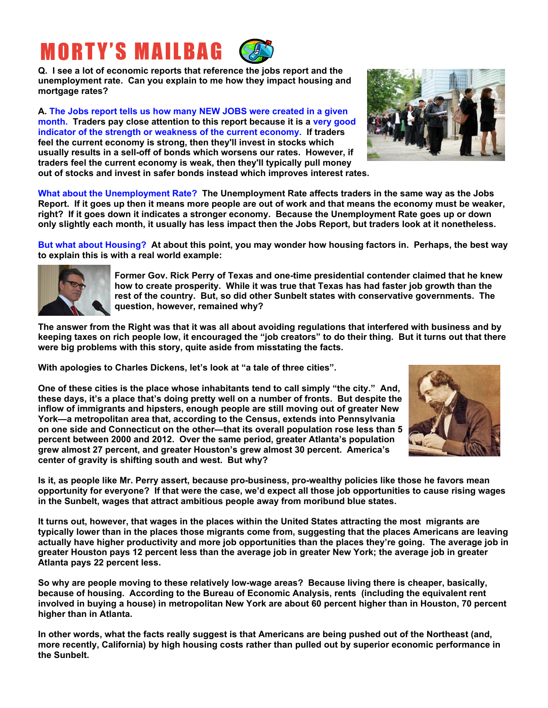# **MORTY'S MAILBAG**

**Q. I see a lot of economic reports that reference the jobs report and the unemployment rate. Can you explain to me how they impact housing and mortgage rates?**

**A. The Jobs report tells us how many NEW JOBS were created in a given month. Traders pay close attention to this report because it is a very good indicator of the strength or weakness of the current economy. If traders feel the current economy is strong, then they'll invest in stocks which usually results in a sell-off of bonds which worsens our rates. However, if traders feel the current economy is weak, then they'll typically pull money out of stocks and invest in safer bonds instead which improves interest rates.**



**What about the Unemployment Rate? The Unemployment Rate affects traders in the same way as the Jobs Report. If it goes up then it means more people are out of work and that means the economy must be weaker, right? If it goes down it indicates a stronger economy. Because the Unemployment Rate goes up or down only slightly each month, it usually has less impact then the Jobs Report, but traders look at it nonetheless.**

**But what about Housing? At about this point, you may wonder how housing factors in. Perhaps, the best way to explain this is with a real world example:**



**Former Gov. Rick Perry of Texas and one-time presidential contender claimed that he knew how to create prosperity. While it was true that Texas has had faster job growth than the rest of the country. But, so did other Sunbelt states with conservative governments. The question, however, remained why?**

**The answer from the Right was that it was all about avoiding regulations that interfered with business and by keeping taxes on rich people low, it encouraged the "job creators" to do their thing. But it turns out that there were big problems with this story, quite aside from misstating the facts.**

**With apologies to Charles Dickens, let's look at "a tale of three cities".**

**One of these cities is the place whose inhabitants tend to call simply "the city." And, these days, it's a place that's doing pretty well on a number of fronts. But despite the inflow of immigrants and hipsters, enough people are still moving out of greater New York—a metropolitan area that, according to the Census, extends into Pennsylvania on one side and Connecticut on the other—that its overall population rose less than 5 percent between 2000 and 2012. Over the same period, greater Atlanta's population grew almost 27 percent, and greater Houston's grew almost 30 percent. America's center of gravity is shifting south and west. But why?**



**Is it, as people like Mr. Perry assert, because pro-business, pro-wealthy policies like those he favors mean opportunity for everyone? If that were the case, we'd expect all those job opportunities to cause rising wages in the Sunbelt, wages that attract ambitious people away from moribund blue states.**

**It turns out, however, that wages in the places within the United States attracting the most migrants are typically lower than in the places those migrants come from, suggesting that the places Americans are leaving actually have higher productivity and more job opportunities than the places they're going. The average job in greater Houston pays 12 percent less than the average job in greater New York; the average job in greater Atlanta pays 22 percent less.**

**So why are people moving to these relatively low-wage areas? Because living there is cheaper, basically, because of housing. According to the Bureau of Economic Analysis, rents (including the equivalent rent involved in buying a house) in metropolitan New York are about 60 percent higher than in Houston, 70 percent higher than in Atlanta.**

**In other words, what the facts really suggest is that Americans are being pushed out of the Northeast (and, more recently, California) by high housing costs rather than pulled out by superior economic performance in the Sunbelt.**